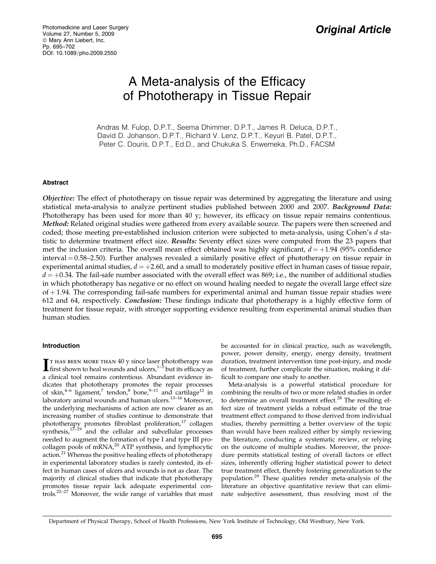# A Meta-analysis of the Efficacy of Phototherapy in Tissue Repair

Andras M. Fulop, D.P.T., Seema Dhimmer, D.P.T., James R. Deluca, D.P.T., David D. Johanson, D.P.T., Richard V. Lenz, D.P.T., Keyuri B. Patel, D.P.T., Peter C. Douris, D.P.T., Ed.D., and Chukuka S. Enwemeka, Ph.D., FACSM

# Abstract

Objective: The effect of phototherapy on tissue repair was determined by aggregating the literature and using statistical meta-analysis to analyze pertinent studies published between 2000 and 2007. Background Data: Phototherapy has been used for more than 40 y; however, its efficacy on tissue repair remains contentious. Method: Related original studies were gathered from every available source. The papers were then screened and coded; those meeting pre-established inclusion criterion were subjected to meta-analysis, using Cohen's d statistic to determine treatment effect size. Results: Seventy effect sizes were computed from the 23 papers that met the inclusion criteria. The overall mean effect obtained was highly significant,  $d = +1.94$  (95% confidence interval = 0.58–2.50). Further analyses revealed a similarly positive effect of phototherapy on tissue repair in experimental animal studies,  $d = +2.60$ , and a small to moderately positive effect in human cases of tissue repair,  $d = +0.34$ . The fail-safe number associated with the overall effect was 869; i.e., the number of additional studies in which phototherapy has negative or no effect on wound healing needed to negate the overall large effect size  $of +1.94$ . The corresponding fail-safe numbers for experimental animal and human tissue repair studies were 612 and 64, respectively. Conclusion: These findings indicate that phototherapy is a highly effective form of treatment for tissue repair, with stronger supporting evidence resulting from experimental animal studies than human studies.

# Introduction

**I** T HAS BEEN MORE THAN 40 y since laser phototherapy was first shown to heal wounds and ulcers,  $1-3$  but its efficacy as first shown to heal wounds and ulcers, $1-\frac{3}{3}$  but its efficacy as a clinical tool remains contentious. Abundant evidence indicates that phototherapy promotes the repair processes of skin, $4-6$  ligament,<sup>7</sup> tendon, $8$  bone, $9-11$  and cartilage<sup>12</sup> in laboratory animal wounds and human ulcers.<sup>13-16</sup> Moreover, the underlying mechanisms of action are now clearer as an increasing number of studies continue to demonstrate that phototherapy promotes fibroblast proliferation, $17$  collagen synthesis, $17-19$  and the cellular and subcellular processes needed to augment the formation of type I and type III procollagen pools of mRNA,<sup>20</sup> ATP synthesis, and lymphocytic action.<sup>21</sup> Whereas the positive healing effects of phototherapy in experimental laboratory studies is rarely contested, its effect in human cases of ulcers and wounds is not as clear. The majority of clinical studies that indicate that phototherapy promotes tissue repair lack adequate experimental controls.22–27 Moreover, the wide range of variables that must

be accounted for in clinical practice, such as wavelength, power, power density, energy, energy density, treatment duration, treatment intervention time post-injury, and mode of treatment, further complicate the situation, making it difficult to compare one study to another.

Meta-analysis is a powerful statistical procedure for combining the results of two or more related studies in order to determine an overall treatment effect.<sup>28</sup> The resulting effect size of treatment yields a robust estimate of the true treatment effect compared to those derived from individual studies, thereby permitting a better overview of the topic than would have been realized either by simply reviewing the literature, conducting a systematic review, or relying on the outcome of multiple studies. Moreover, the procedure permits statistical testing of overall factors or effect sizes, inherently offering higher statistical power to detect true treatment effect, thereby fostering generalization to the population.<sup>29</sup> These qualities render meta-analysis of the literature an objective quantitative review that can eliminate subjective assessment, thus resolving most of the

Department of Physical Therapy, School of Health Professions, New York Institute of Technology, Old Westbury, New York.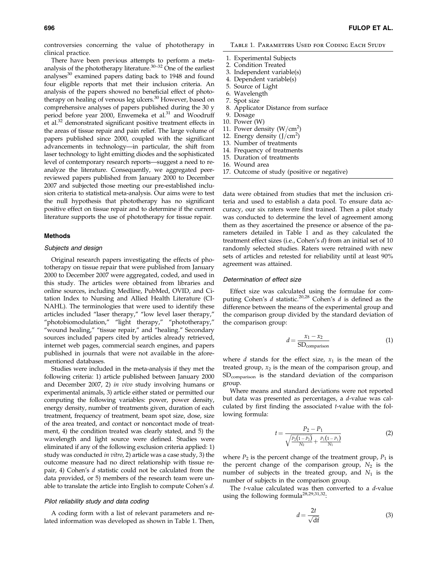controversies concerning the value of phototherapy in clinical practice.

There have been previous attempts to perform a metaanalysis of the phototherapy literature.<sup>30–32</sup> One of the earliest analyses $30$  examined papers dating back to 1948 and found four eligible reports that met their inclusion criteria. An analysis of the papers showed no beneficial effect of phototherapy on healing of venous leg ulcers.<sup>30</sup> However, based on comprehensive analyses of papers published during the 30 y period before year 2000, Enwemeka et al.<sup>31</sup> and Woodruff et al.<sup>32</sup> demonstrated significant positive treatment effects in the areas of tissue repair and pain relief. The large volume of papers published since 2000, coupled with the significant advancements in technology—in particular, the shift from laser technology to light emitting diodes and the sophisticated level of contemporary research reports—suggest a need to reanalyze the literature. Consequently, we aggregated peerreviewed papers published from January 2000 to December 2007 and subjected those meeting our pre-established inclusion criteria to statistical meta-analysis. Our aims were to test the null hypothesis that phototherapy has no significant positive effect on tissue repair and to determine if the current literature supports the use of phototherapy for tissue repair.

## Methods

## Subjects and design

Original research papers investigating the effects of phototherapy on tissue repair that were published from January 2000 to December 2007 were aggregated, coded, and used in this study. The articles were obtained from libraries and online sources, including Medline, PubMed, OVID, and Citation Index to Nursing and Allied Health Literature (CI-NAHL). The terminologies that were used to identify these articles included ''laser therapy,'' ''low level laser therapy,'' ''photobiomodulation,'' ''light therapy,'' ''phototherapy,'' "wound healing," "tissue repair," and "healing." Secondary sources included papers cited by articles already retrieved, internet web pages, commercial search engines, and papers published in journals that were not available in the aforementioned databases.

Studies were included in the meta-analysis if they met the following criteria: 1) article published between January 2000 and December 2007, 2) in vivo study involving humans or experimental animals, 3) article either stated or permitted our computing the following variables: power, power density, energy density, number of treatments given, duration of each treatment, frequency of treatment, beam spot size, dose, size of the area treated, and contact or noncontact mode of treatment, 4) the condition treated was clearly stated, and 5) the wavelength and light source were defined. Studies were eliminated if any of the following exclusion criteria applied: 1) study was conducted in vitro, 2) article was a case study, 3) the outcome measure had no direct relationship with tissue repair, 4) Cohen's d statistic could not be calculated from the data provided, or 5) members of the research team were unable to translate the article into English to compute Cohen's d.

# Pilot reliability study and data coding

A coding form with a list of relevant parameters and related information was developed as shown in Table 1. Then, Table 1. Parameters Used for Coding Each Study

- 1. Experimental Subjects
- 2. Condition Treated
- 3. Independent variable(s)
- 4. Dependent variable(s)
- 5. Source of Light
- 6. Wavelength
- 7. Spot size
- 8. Applicator Distance from surface
- 9. Dosage 10. Power (W)
- 11. Power density  $(W/cm<sup>2</sup>)$
- 12. Energy density  $(J/cm^2)$
- 13. Number of treatments
- 14. Frequency of treatments
- 15. Duration of treatments
- 16. Wound area
- 17. Outcome of study (positive or negative)

data were obtained from studies that met the inclusion criteria and used to establish a data pool. To ensure data accuracy, our six raters were first trained. Then a pilot study was conducted to determine the level of agreement among them as they ascertained the presence or absence of the parameters detailed in Table 1 and as they calculated the treatment effect sizes (i.e., Cohen's d) from an initial set of 10 randomly selected studies. Raters were retrained with new sets of articles and retested for reliability until at least 90% agreement was attained.

## Determination of effect size

Effect size was calculated using the formulae for computing Cohen's  $d$  statistic.<sup>20,28</sup> Cohen's  $d$  is defined as the difference between the means of the experimental group and the comparison group divided by the standard deviation of the comparison group:

$$
d = \frac{x_1 - x_2}{SD_{comparison}} \tag{1}
$$

where  $d$  stands for the effect size,  $x_1$  is the mean of the treated group,  $x_2$  is the mean of the comparison group, and SDcomparison is the standard deviation of the comparison group.

Where means and standard deviations were not reported but data was presented as percentages, a d-value was calculated by first finding the associated t-value with the following formula:

$$
t = \frac{P_2 - P_1}{\sqrt{\frac{P_2(1 - P_2)}{N_2} + \frac{P_1(1 - P_1)}{N_1}}}
$$
(2)

where  $P_2$  is the percent change of the treatment group,  $P_1$  is the percent change of the comparison group,  $N_2$  is the number of subjects in the treated group, and  $N_1$  is the number of subjects in the comparison group.

The *t*-value calculated was then converted to a *d*-value using the following formula<sup>28,29,31,32</sup>:

$$
d = \frac{2t}{\sqrt{df}}
$$
 (3)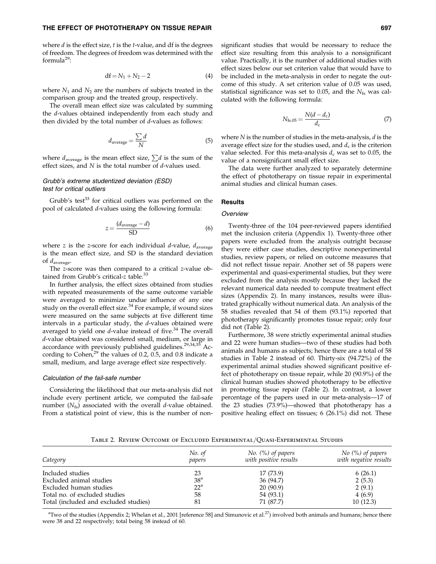## THE EFFECT OF PHOTOTHERAPY ON TISSUE REPAIR **EXAMPLE 2008 12 AMOUNT 100 AMOUNT 100 AMOUNT** 697

where  $d$  is the effect size,  $t$  is the  $t$ -value, and df is the degrees of freedom. The degrees of freedom was determined with the formula $^{29}$ :

$$
df = N_1 + N_2 - 2 \tag{4}
$$

where  $N_1$  and  $N_2$  are the numbers of subjects treated in the comparison group and the treated group, respectively.

The overall mean effect size was calculated by summing the d-values obtained independently from each study and then divided by the total number of  $d$ -values as follows:

$$
d_{\text{average}} = \frac{\sum d}{N} \tag{5}
$$

where  $d_{\text{average}}$  is the mean effect size,  $\sum d$  is the sum of the effect sizes, and N is the total number of *d*-values used.

# Grubb's extreme studentized deviation (ESD) test for critical outliers

Grubb's test<sup>33</sup> for critical outliers was performed on the pool of calculated d-values using the following formula:

$$
z = \frac{(d_{\text{average}} - d)}{\text{SD}}
$$
 (6)

where z is the z-score for each individual  $d$ -value,  $d_{\text{average}}$ is the mean effect size, and SD is the standard deviation of daverage.

The z-score was then compared to a critical z-value obtained from Grubb's critical-z table.<sup>33</sup>

In further analysis, the effect sizes obtained from studies with repeated measurements of the same outcome variable were averaged to minimize undue influence of any one study on the overall effect size.<sup>34</sup> For example, if wound sizes were measured on the same subjects at five different time intervals in a particular study, the d-values obtained were averaged to yield one  $d$ -value instead of five.<sup>34</sup> The overall d-value obtained was considered small, medium, or large in accordance with previously published guidelines.<sup>29,34,35</sup> According to Cohen,<sup>29</sup> the values of 0.2, 0.5, and 0.8 indicate a small, medium, and large average effect size respectively.

## Calculation of the fail-safe number

Considering the likelihood that our meta-analysis did not include every pertinent article, we computed the fail-safe number  $(N_{fs})$  associated with the overall *d*-value obtained. From a statistical point of view, this is the number of nonsignificant studies that would be necessary to reduce the effect size resulting from this analysis to a nonsignificant value. Practically, it is the number of additional studies with effect sizes below our set criterion value that would have to be included in the meta-analysis in order to negate the outcome of this study. A set criterion value of 0.05 was used, statistical significance was set to 0.05, and the  $N_{fs}$  was calculated with the following formula:

$$
N_{\text{fs.05}} = \frac{N(d - d_{\text{c}})}{d_{\text{c}}}
$$
 (7)

where  $N$  is the number of studies in the meta-analysis,  $d$  is the average effect size for the studies used, and  $d_c$  is the criterion value selected. For this meta-analysis  $d_c$  was set to 0.05, the value of a nonsignificant small effect size.

The data were further analyzed to separately determine the effect of phototherapy on tissue repair in experimental animal studies and clinical human cases.

## **Results**

## **Overview**

Twenty-three of the 104 peer-reviewed papers identified met the inclusion criteria (Appendix 1). Twenty-three other papers were excluded from the analysis outright because they were either case studies, descriptive nonexperimental studies, review papers, or relied on outcome measures that did not reflect tissue repair. Another set of 58 papers were experimental and quasi-experimental studies, but they were excluded from the analysis mostly because they lacked the relevant numerical data needed to compute treatment effect sizes (Appendix 2). In many instances, results were illustrated graphically without numerical data. An analysis of the 58 studies revealed that 54 of them (93.1%) reported that phototherapy significantly promotes tissue repair; only four did not (Table 2).

Furthermore, 38 were strictly experimental animal studies and 22 were human studies—two of these studies had both animals and humans as subjects; hence there are a total of 58 studies in Table 2 instead of 60. Thirty-six (94.72%) of the experimental animal studies showed significant positive effect of phototherapy on tissue repair, while 20 (90.9%) of the clinical human studies showed phototherapy to be effective in promoting tissue repair (Table 2). In contrast, a lower percentage of the papers used in our meta-analysis—17 of the 23 studies (73.9%)—showed that phototherapy has a positive healing effect on tissues; 6 (26.1%) did not. These

Table 2. Review Outcome of Excluded Experimental=Quasi-Experimental Studies

| Category                              | No. of<br>papers | No. $(\%)$ of papers<br>with positive results | $No$ (%) of papers<br>with negative results |  |
|---------------------------------------|------------------|-----------------------------------------------|---------------------------------------------|--|
| Included studies                      | 23               | 17 (73.9)                                     | 6(26.1)                                     |  |
| Excluded animal studies               | 38 <sup>a</sup>  | 36 (94.7)                                     | 2(5.3)                                      |  |
| Excluded human studies                | $22^{\circ}$     | 20(90.9)                                      | 2(9.1)                                      |  |
| Total no. of excluded studies         | 58               | 54 (93.1)                                     | 4(6.9)                                      |  |
| Total (included and excluded studies) | 81               | 71 (87.7)                                     | 10(12.3)                                    |  |

 $\rm{a^{2}Two}$  of the studies (Appendix 2; Whelan et al., 2001 [reference 58] and Simunovic et al.<sup>27</sup>) involved both animals and humans; hence there were 38 and 22 respectively; total being 58 instead of 60.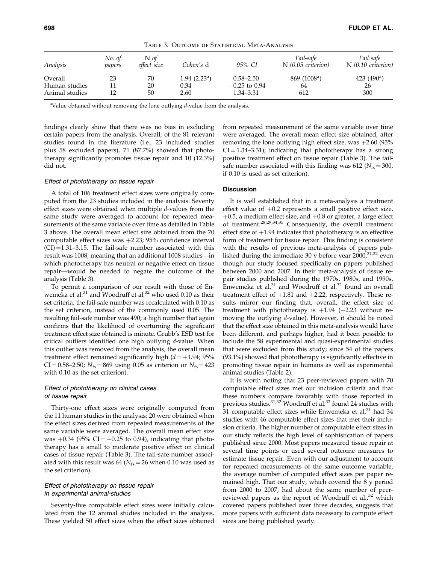| Analysis       | No. of<br>papers | N of<br>effect size | Cohen's d               | 95% CI          | Fail-safe<br>$N(0.05$ criterion) | Fail safe<br>$N(0.10$ criterion) |
|----------------|------------------|---------------------|-------------------------|-----------------|----------------------------------|----------------------------------|
| Overall        | 23               | 70                  | $1.94$ $(2.23^{\circ})$ | $0.58 - 2.50$   | 869 (1008 <sup>a</sup> )         | 423 $(490^a)$                    |
| Human studies  |                  | 20                  | 0.34                    | $-0.25$ to 0.94 | 64                               | 26                               |
| Animal studies |                  | 50                  | 2.60                    | $1.34 - 3.31$   | 612                              | 300                              |

Table 3. Outcome of Statistical Meta-Analysis

<sup>a</sup>Value obtained without removing the lone outlying  $d$ -value from the analysis.

findings clearly show that there was no bias in excluding certain papers from the analysis. Overall, of the 81 relevant studies found in the literature (i.e., 23 included studies plus 58 excluded papers), 71 (87.7%) showed that phototherapy significantly promotes tissue repair and 10 (12.3%) did not.

#### Effect of phototherapy on tissue repair

A total of 106 treatment effect sizes were originally computed from the 23 studies included in the analysis. Seventy effect sizes were obtained when multiple d-values from the same study were averaged to account for repeated measurements of the same variable over time as detailed in Table 3 above. The overall mean effect size obtained from the 70 computable effect sizes was  $+2.23$ ; 95% confidence interval  $(CI) = 1.31-3.15$ . The fail-safe number associated with this result was 1008; meaning that an additional 1008 studies—in which phototherapy has neutral or negative effect on tissue repair—would be needed to negate the outcome of the analysis (Table 3).

To permit a comparison of our result with those of Enwemeka et al.<sup>31</sup> and Woodruff et al.<sup>32</sup> who used 0.10 as their set criteria, the fail-safe number was recalculated with 0.10 as the set criterion, instead of the commonly used 0.05. The resulting fail-safe number was 490; a high number that again confirms that the likelihood of overturning the significant treatment effect size obtained is minute. Grubb's ESD test for critical outliers identified one high outlying d-value. When this outlier was removed from the analysis, the overall mean treatment effect remained significantly high  $(d = +1.94; 95\%)$ CI = 0.58–2.50;  $N_{fs} = 869$  using 0.05 as criterion or  $N_{fs} = 423$ with 0.10 as the set criterion).

# Effect of phototherapy on clinical cases of tissue repair

Thirty-one effect sizes were originally computed from the 11 human studies in the analysis; 20 were obtained when the effect sizes derived from repeated measurements of the same variable were averaged. The overall mean effect size was  $+0.34$  (95% CI =  $-0.25$  to 0.94), indicating that phototherapy has a small to moderate positive effect on clinical cases of tissue repair (Table 3). The fail-safe number associated with this result was 64 ( $N_{fs}$  = 26 when 0.10 was used as the set criterion).

## Effect of phototherapy on tissue repair in experimental animal-studies

Seventy-five computable effect sizes were initially calculated from the 12 animal studies included in the analysis. These yielded 50 effect sizes when the effect sizes obtained from repeated measurement of the same variable over time were averaged. The overall mean effect size obtained, after removing the lone outlying high effect size, was  $+2.60$  (95%)  $CI = 1.34-3.31$ ; indicating that phototherapy has a strong positive treatment effect on tissue repair (Table 3). The failsafe number associated with this finding was 612 ( $N_{fs} = 300$ , if 0.10 is used as set criterion).

## **Discussion**

It is well established that in a meta-analysis a treatment effect value of  $+0.2$  represents a small positive effect size,  $+0.5$ , a medium effect size, and  $+0.8$  or greater, a large effect of treatment.28,29,34,35 Consequently, the overall treatment effect size of  $+1.94$  indicates that phototherapy is an effective form of treatment for tissue repair. This finding is consistent with the results of previous meta-analysis of papers published during the immediate 30 y before year  $2000<sup>31,32</sup>$  even though our study focused specifically on papers published between 2000 and 2007. In their meta-analysis of tissue repair studies published during the 1970s, 1980s, and 1990s, Enwemeka et al. $31$  and Woodruff et al. $32$  found an overall treatment effect of  $+1.81$  and  $+2.22$ , respectively. These results mirror our finding that, overall, the effect size of treatment with phototherapy is  $+1.94$  ( $+2.23$  without removing the outlying d-value). However, it should be noted that the effect size obtained in this meta-analysis would have been different, and perhaps higher, had it been possible to include the 58 experimental and quasi-experimental studies that were excluded from this study; since 54 of the papers (93.1%) showed that phototherapy is significantly effective in promoting tissue repair in humans as well as experimental animal studies (Table 2).

It is worth noting that 23 peer-reviewed papers with 70 computable effect sizes met our inclusion criteria and that these numbers compare favorably with those reported in previous studies.  $31,32$  Woodruff et al.  $32$  found 24 studies with 31 computable effect sizes while Enwemeka et al. $31$  had 34 studies with 46 computable effect sizes that met their inclusion criteria. The higher number of computable effect sizes in our study reflects the high level of sophistication of papers published since 2000. Most papers measured tissue repair at several time points or used several outcome measures to estimate tissue repair. Even with our adjustment to account for repeated measurements of the same outcome variable, the average number of computed effect sizes per paper remained high. That our study, which covered the 8 y period from 2000 to 2007, had about the same number of peerreviewed papers as the report of Woodruff et al., $32$  which covered papers published over three decades, suggests that more papers with sufficient data necessary to compute effect sizes are being published yearly.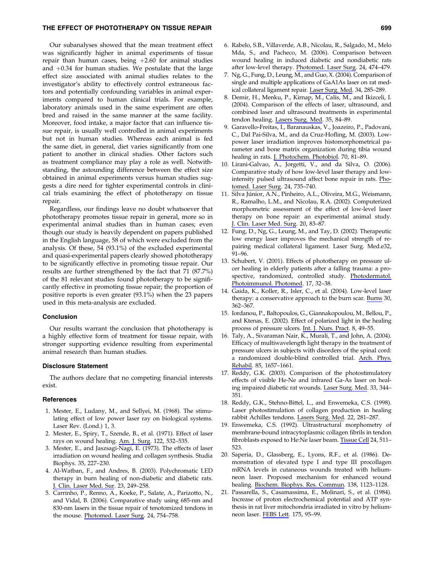# THE EFFECT OF PHOTOTHERAPY ON TISSUE REPAIR **EXAMPLE 2008** 699 CHECK 699

Our subanalyses showed that the mean treatment effect was significantly higher in animal experiments of tissue repair than human cases, being  $+2.60$  for animal studies and  $+0.34$  for human studies. We postulate that the large effect size associated with animal studies relates to the investigator's ability to effectively control extraneous factors and potentially confounding variables in animal experiments compared to human clinical trials. For example, laboratory animals used in the same experiment are often bred and raised in the same manner at the same facility. Moreover, food intake, a major factor that can influence tissue repair, is usually well controlled in animal experiments but not in human studies. Whereas each animal is fed the same diet, in general, diet varies significantly from one patient to another in clinical studies. Other factors such as treatment compliance may play a role as well. Notwithstanding, the astounding difference between the effect size obtained in animal experiments versus human studies suggests a dire need for tighter experimental controls in clinical trials examining the effect of phototherapy on tissue repair.

Regardless, our findings leave no doubt whatsoever that phototherapy promotes tissue repair in general, more so in experimental animal studies than in human cases; even though our study is heavily dependent on papers published in the English language, 58 of which were excluded from the analysis. Of these, 54 (93.1%) of the excluded experimental and quasi-experimental papers clearly showed phototherapy to be significantly effective in promoting tissue repair. Our results are further strengthened by the fact that 71 (87.7%) of the 81 relevant studies found phototherapy to be significantly effective in promoting tissue repair; the proportion of positive reports is even greater (93.1%) when the 23 papers used in this meta-analysis are excluded.

## Conclusion

Our results warrant the conclusion that phototherapy is a highly effective form of treatment for tissue repair, with stronger supporting evidence resulting from experimental animal research than human studies.

### Disclosure Statement

The authors declare that no competing financial interests exist.

# References

- 1. Mester, E., Ludany, M., and Sellyei, M. (1968). The stimulating effect of low power laser ray on biological systems. Laser Rev. (Lond.) 1, 3.
- 2. Mester, E., Spiry, T., Szende, B., et al. (1971). Effect of laser rays on wound healing. Am. J. Surg. 122, 532–535.
- 3. Mester, E., and Jaszsagi-Nagi, E. (1973). The effects of laser irradiation on wound healing and collagen synthesis. Studia Biophys. 35, 227–230.
- 4. Al-Watban, F., and Andres, B. (2003). Polychromatic LED therapy in burn healing of non-diabetic and diabetic rats. J. Clin. Laser Med. Sur. 23, 249–258.
- 5. Carrinho, P., Renno, A., Koeke, P., Salate, A., Parizotto, N., and Vidal, B. (2006). Comparative study using 685-nm and 830-nm lasers in the tissue repair of tenotomized tendons in the mouse. Photomed. Laser Surg. 24, 754–758.
- 6. Rabelo, S.B., Villaverde, A.B., Nicolau, R., Salgado, M., Melo Mda, S., and Pacheco, M. (2006). Comparison between wound healing in induced diabetic and nondiabetic rats after low-level therapy. Photomed. Laser Surg. 24, 474–479.
- 7. Ng, G., Fung, D., Leung, M., and Guo, X. (2004). Comparison of single and multiple applications of GaA1As laser on rat medical collateral ligament repair. Laser Surg. Med. 34, 285–289.
- 8. Demir, H., Menku, P., Kirnap, M., Calis, M., and Ikizceli, I. (2004). Comparison of the effects of laser, ultrasound, and combined laser and ultrasound treatments in experimental tendon healing. Lasers Surg. Med. 35, 84–89.
- 9. Garavello-Freitas, I., Baranauskas, V., Joazeiro, P., Padovani, C., Dal Pai-Silva, M., and da Cruz-Hofling, M. (2003). Lowpower laser irradiation improves histomorphometrical parameter and bone matrix organization during tibia wound healing in rats. J. Photochem. Photobiol. 70, 81–89.
- 10. Lirani-Galvao, A., Jorgetti, V., and da Silva, O. (2006). Comparative study of how low-level laser therapy and lowintensity pulsed ultrasound affect bone repair in rats. Photomed. Laser Surg. 24, 735–740.
- 11. Silva Júnior, A.N., Pinheiro, A.L., Oliveira, M.G., Weismann, R., Ramalho, L.M., and Nicolau, R.A. (2002). Computerized morphometric assessment of the effect of low-level laser therapy on bone repair: an experimental animal study. J. Clin. Laser Med. Surg. 20, 83–87.
- 12. Fung, D., Ng, G., Leung, M., and Tay, D. (2002). Therapeutic low energy laser improves the mechanical strength of repairing medical collateral ligament. Laser Surg. Med.e32, 91–96.
- 13. Schubert, V. (2001). Effects of phototherapy on pressure ulcer healing in elderly patients after a falling trauma: a prospective, randomized, controlled study. Photodermatol. Photoimmunol. Photomed. 17, 32–38.
- 14. Gaida, K., Koller, R., Isler, C., et al. (2004). Low-level laser therapy: a conservative approach to the burn scar. Burns 30, 362–367.
- 15. Iordanou, P., Baltopoulos, G., Giannakopoulou, M., Bellou, P., and Ktenas, E. (2002). Effect of polarized light in the healing process of pressure ulcers. Int. J. Nurs. Pract. 8, 49–55.
- 16. Taly, A., Sivaraman Nair, K., Murali, T., and John, A. (2004). Efficacy of multiwavelength light therapy in the treatment of pressure ulcers in subjects with disorders of the spinal cord: a randomized double-blind controlled trial. Arch. Phys. Rehabil. 85, 1657–1661.
- 17. Reddy, G.K. (2003). Comparison of the photostimulatory effects of visible He-Ne and infrared Ga-As laser on healing impaired diabetic rat wounds. Laser Surg. Med. 33, 344– 351.
- 18. Reddy, G.K., Stehno-Bittel, L., and Enwemeka, C.S. (1998). Laser photostimulation of collagen production in healing rabbit Achilles tendons. Lasers Surg. Med. 22, 281–287.
- 19. Enwemeka, C.S. (1992). Ultrastructural morphometry of membrane-bound intracytoplasmic collagen fibrils in tendon fibroblasts exposed to He:Ne laser beam. Tissue Cell 24, 511– 523.
- 20. Saperia, D., Glassberg, E., Lyons, R.F., et al. (1986). Demonstration of elevated type I and type III procollagen mRNA levels in cutaneous wounds treated with heliumneon laser. Proposed mechanism for enhanced wound healing. Biochem. Biophys. Res. Commun. 138, 1123–1128.
- 21. Passarella, S., Casamassima, E., Molinari, S., et al. (1984). Increase of proton electrochemical potential and ATP synthesis in rat liver mitochondria irradiated in vitro by heliumneon laser. FEBS Lett. 175, 95–99.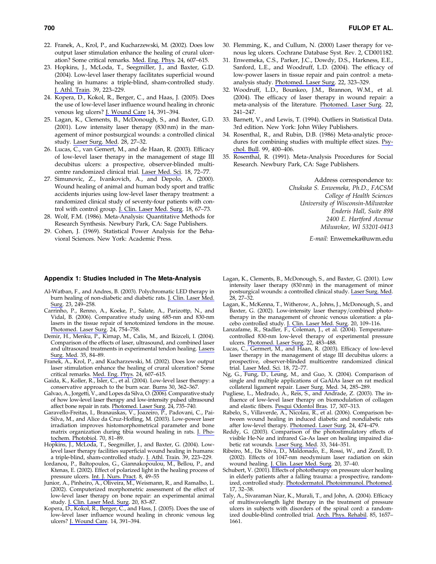- 22. Franek, A., Krol, P., and Kucharzewski, M. (2002). Does low output laser stimulation enhance the healing of crural ulceration? Some critical remarks. Med. Eng. Phys. 24, 607–615.
- 23. Hopkins, J., McLoda, T., Seegmiller, J., and Baxter, G.D. (2004). Low-level laser therapy facilitates superficial wound healing in humans: a triple-blind, sham-controlled study. J. Athl. Train. 39, 223–229.
- 24. Kopera, D., Kokol, R., Berger, C., and Haas, J. (2005). Does the use of low-level laser influence wound healing in chronic venous leg ulcers? J. Wound Care 14, 391–394.
- 25. Lagan, K., Clements, B., McDonough, S., and Baxter, G.D. (2001). Low intensity laser therapy (830 nm) in the management of minor postsurgical wounds: a controlled clinical study. Laser Surg. Med. 28, 27–32.
- 26. Lucas, C., van Gemert, M., and de Haan, R. (2003). Efficacy of low-level laser therapy in the management of stage III decubitus ulcers: a prospective, observer-blinded multicentre randomized clinical trial. Laser Med. Sci. 18, 72–77.
- 27. Simunovic, Z., Ivankovich, A., and Depolo, A. (2000). Wound healing of animal and human body sport and traffic accidents injuries using low-level laser therapy treatment: a randomized clinical study of seventy-four patients with control with control group. J. Clin. Laser Med. Surg. 18, 67–73.
- 28. Wolf, F.M. (1986). Meta-Analysis: Quantitative Methods for Research Synthesis. Newbury Park, CA: Sage Publishers.
- 29. Cohen, J. (1969). Statistical Power Analysis for the Behavioral Sciences. New York: Academic Press.

# Appendix 1: Studies Included in The Meta-Analysis

- Al-Watban, F., and Andres, B. (2003). Polychromatic LED therapy in burn healing of non-diabetic and diabetic rats. J. Clin. Laser Med. Surg. 23, 249–258.
- Carrinho, P., Renno, A., Koeke, P., Salate, A., Parizottp, N., and Vidal, B. (2006). Comparative study using 685-nm and 830-nm lasers in the tissue repair of tenotomized tendons in the mouse. Photomed. Laser Surg. 24, 754–758.
- Demir, H., Menku, P., Kirnap, M., Calis, M., and Ikizceli, I. (2004). Comparison of the effects of laser, ultrasound, and combined laser and ultrasound treatments in experimental tendon healing. Lasers Surg. Med. 35, 84–89.
- Franek, A., Krol, P., and Kucharzewski, M. (2002). Does low output laser stimulation enhance the healing of crural ulceration? Some critical remarks. Med. Eng. Phys. 24, 607–615.
- Gaida, K., Koller, R., Isler, C., et al. (2004). Low-level laser therapy: a conservative approach to the burn scar. Burns 30, 362–367.
- Galvao, A., Jorgetti, V., and Lopes da Silva, O. (2006). Comparative study of how low-level laser therapy and low-intensity pulsed ultrasound affect bone repair in rats. <u>Photomed. Laser Surg</u>. 24, 735–740.
- Garavello-Freitas, I., Branauskas, V., Joazeiro, P., Padovani, C., Pai-Silva, M., and Alice da Cruz-Hofling, M. (2003). Low-power laser irradiation improves histomorphometrical parameter and bone matrix organization during tibia wound healing in rats. J. Photochem. Photobiol. 70, 81–89.
- Hopkins, J., McLoda, T., Seegmiller, J., and Baxter, G. (2004). Lowlevel laser therapy facilities superficial wound healing in humans: a triple-blind, sham-controlled study. J. Athl. Train. 39, 223–229.
- Iordanou, P., Baltopoulos, G., Giannakopoulou, M., Bellou, P., and Ktenas, E. (2002). Effect of polarized light in the healing process of pressure ulcers. Int. J. Nurs. Pract. 8, 49-55
- Junior, A., Pinheiro, A., Oliveira, M., Weismann, R., and Ramalho, L. (2002). Computerized morphometric assessment of the effect of low-level laser therapy on bone repair: an experimental animal study. J. Clin. Laser Med. Surg. 20, 83–87.
- Kopera, D., Kokol, R., Berger, C., and Hass, J. (2005). Does the use of low-level laser influence wound healing in chronic venous leg ulcers? J. Wound Care. 14, 391–394.
- 30. Flemming, K., and Cullum, N. (2000) Laser therapy for venous leg ulcers. Cochrane Database Syst. Rev. 2, CD001182.
- 31. Enwemeka, C.S., Parker, J.C., Dowdy, D.S., Harkness, E.E., Sanford, L.E., and Woodruff, L.D. (2004). The efficacy of low-power lasers in tissue repair and pain control: a metaanalysis study. Photomed. Laser Surg. 22, 323–329.
- 32. Woodruff, L.D., Bounkeo, J.M., Brannon, W.M., et al. (2004). The efficacy of laser therapy in wound repair: a meta-analysis of the literature. Photomed. Laser Surg. 22, 241–247.
- 33. Barnett, V., and Lewis, T. (1994). Outliers in Statistical Data. 3rd edition. New York: John Wiley Publishers.
- 34. Rosenthal, R., and Rubin, D.B. (1986) Meta-analytic procedures for combining studies with multiple effect sizes. Psychol. Bull. 99, 400–406.
- 35. Rosenthal, R. (1991). Meta-Analysis Procedures for Social Research. Newbury Park, CA: Sage Publishers.

Address correspondence to: Chukuka S. Enwemeka, Ph.D., FACSM College of Health Sciences University of Wisconsin-Milwavkee Enderis Hall, Suite 898 2400 E. Hartford Avenue Milwavkee, WI 53201-0413

E-mail: Enwemeka@uwm.edu

- Lagan, K., Clements, B., McDonough, S., and Baxter, G. (2001). Low intensity laser therapy (830 nm) in the management of minor postsurgical wounds: a controlled clinical study. Laser Surg. Med. 28, 27–32.
- Lagan, K., McKenna, T., Witherow, A., Johns, J., McDonough, S., and Baxter, G. (2002). Low-intensity laser therapy/combined phototherapy in the management of chronic venous ulceration: a placebo controlled study. J. Clin. Laser Med. Surg. 20, 109–116.
- Lanzafame, R., Stadler, F., Coleman, J., et al. (2004). Temperaturecontrolled 830-nm low-level therapy of experimental pressure ulcers. Photomed. Laser Surg. 22, 483–488.
- Lucas, C., Germert, M., and Haan, R. (2003). Efficacy of low-level laser therapy in the management of stage III decubitus ulcers: a prospective, observer-blinded multicentre randomized clinical trial. Laser Med. Sci. 18, 72–77.
- Ng, G., Fung, D., Leung, M., and Guo, X. (2004). Comparison of single and multiple applications of GaAlAs laser on rat medical collateral ligament repair. Laser Surg. Med. 34, 285–289.
- Pugliese, L., Medrado, A., Reis, S., and Andrade, Z. (2003). The influence of low-level laser therapy on biomodulation of collagen and elastic fibers. Pesqui Odontol Bras. 17, 307–313.
- Rabelo, S., Villaverde, A., Nicolau, R., et al. (2006). Comparison between wound healing in induced diabetic and nondiabetic rats after low-level therapy. Photomed. Laser Surg. 24, 474-479.
- Reddy, G. (2003). Comparison of the photostimulatory effects of visible He-Ne and infrared Ga-As laser on healing impaired diabetic rat wounds. Laser Surg. Med. 33, 344–351.
- Ribeiro, M., Da Silva, D., Maldonado, E., Rossi, W., and Zezell, D. (2002). Effects of 1047-nm neodymium laser radiation on skin wound healing. J. Clin. Laser Med. Surg. 20, 37–40.
- Schubert, V. (2001). Effects of phototherapy on pressure ulcer healing in elderly patients after a falling trauma: a prospective, randomized, controlled study. Photodermatol. Photoimmunol. Photomed. 17, 32–38.
- Taly, A., Sivaraman Niar, K., Murali, T., and John, A. (2004). Efficacy of multiwavelength light therapy in the treatment of pressure ulcers in subjects with disorders of the spinal cord: a randomized double-blind controlled trial. Arch. Phys. Rehabil. 85, 1657– 1661.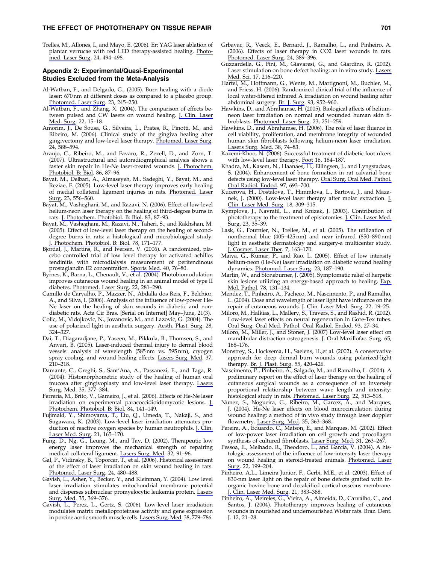## THE EFFECT OF PHOTOTHERAPY ON TISSUE REPAIR **THE SET AND THE SET ASSESS** 701

Trelles, M., Allones, I., and Mayo, E. (2006). Er: YAG laser ablation of plantar verrucae with red LED therapy-assisted healing. Photomed. Laser Surg. 24, 494–498.

# Appendix 2: Experimental/Quasi-Experimental Studies Excluded from the Meta-Analysis

- Al-Watban, F., and Delgado, G., (2005). Burn healing with a diode laser: 670 nm at different doses as compared to a placebo group. Photomed. Laser Surg. 23, 245–250.
- Al-Watban, F., and Zhang, X. (2004). The comparison of effects between pulsed and CW lasers on wound healing. J. Clin. Laser Med. Surg. 22, 15–18.
- Amorim, J., De Sousa, G., Silveira, L., Prates, R., Pinotti, M., and Ribeiro, M. (2006). Clinical study of the gingiva healing after gingivectomy and low-level laser therapy. Photomed. Laser Surg. 24, 588–594.
- Araujo, C., Ribeiro, M., and Favaro, R., Zezell, D., and Zorn, T. (2007). Ultrastructural and autoradiographical analysis shows a faster skin repair in He-Ne laser-treated wounds. J. Photochem. Photobiol. B: Biol. 86, 87–96.
- Bayat, M., Delbari, A., Almaseyeh, M., Sadeghi, Y., Bayat, M., and Reziae, F. (2005). Low-level laser therapy improves early healing of medial collateral ligament injuries in rats. Photomed. Laser Surg. 23, 556–560.
- Bayat, M., Vasheghani, M., and Razavi, N. (2006). Effect of low-level helium-neon laser therapy on the healing of third-degree burns in rats. J. Photochem. Photobiol. B: Biol. 83, 87–93.
- Bayat, M., Vasheghani, M., Razavi, N., Taheri, S., and Rakhshan, M. (2005). Effect of low-level laser therapy on the healing of seconddegree burns in rats: a histological and microbiological study. J. Photochem. Photobiol. B: Biol. 78, 171–177.
- Bjordal, J., Martins, R., and Iversen, V. (2006). A randomized, placebo controlled trial of low level therapy for activated achilles tendinitis with microdialysis measurement of peritendinous prostaglandin E2 concentration. Sports Med. 40, 76–80.
- Byrnes, K., Barna, L., Chenault, V., et al. (2004). Photobiomodulation improves cutaneous wound healing in an animal model of type II diabetes. Photomed. Laser Surg. 22, 281-290.
- Camillo de Carvalho, P., Mazzer, N., Abdalla dos Reis, F., Belchior, A., and Silva, I. (2006). Analysis of the influence of low-power He-Ne laser on the healing of skin wounds in diabetic and nondiabetic rats. Acta Cir Bras. [Serial on Internet] May–June, 21(3).
- Colic, M., Vidojkovic, N., Jovanovic, M., and Lazovic, G. (2004). The use of polarized light in aesthetic surgery. Aesth. Plast. Surg. 28, 324–327.
- Dai, T., Diagaradjane, P., Yaseen, M., Pikkula, B., Thomsen, S., and Anvari, B. (2005). Laser-induced thermal injury to dermal blood vessels: analysis of wavelength (585 nm vs. 595 nm), cryogen spray cooling, and wound healing effects. Lasers Surg. Med. 37, 210–218.
- Damante, C., Greghi, S., Sant'Ana, A., Passanezi, E., and Taga, R. (2004). Histomorphometric study of the healing of human oral mucosa after gingivoplasty and low-level laser therapy. Lasers Surg. Med. 35, 377–384.
- Ferreria, M., Brito, V., Gameiro, J., et al. (2006). Effects of He-Ne laser irradiation on experimental paracoccidioidomycotic lesions. J. Photochem. Photobiol. B: Biol. 84, 141–149.
- Fujimaki, Y., Shimoyama, T., Liu, Q., Umeda, T., Nakaji, S., and Sugawara, K. (2003). Low-level laser irradiation attenuates production of reactive oxygen species by human neutrophils. J. Clin. Laser Med. Surg. 21, 165–170.
- Fung, D., Ng, G., Leung, M., and Tay, D. (2002). Therapeutic low energy laser improves the mechanical strength of repairing medical collateral ligament. Lasers Surg. Med. 32, 91–96.
- Gal, P., Vidinsky, B., Toporcer, T., et al. (2006). Historical assessment of the effect of laser irradiation on skin wound healing in rats. Photomed. Laser Surg. 24, 480–488.
- Gavish, L., Asher, Y., Becker, Y., and Kleinman, Y. (2004). Low level laser irradiation stimulates mitochondrial membrane potential and disperses subnuclear promyelocytic leukemia protein. Lasers Surg. Med. 35, 369–376.
- Gavish, L., Perez, L., Gertz, S. (2006). Low-level laser irradiation modulates matrix metalloproteinase activity and gene expression in porcine aortic smooth muscle cells. Lasers Surg. Med. 38, 779–786.
- Grbavac, R., Veeck, E., Bernard, J., Ramalho, L., and Pinheiro, A. (2006). Effects of laser therapy in CO2 laser wounds in rats. Photomed. Laser Surg. 24, 389–396.
- Guzzardella, G., Fini, M., Giavaresi, G., and Giardino, R. (2002). Laser stimulation on bone defect healing: an in vitro study. Lasers Med. Sci. 17, 216–220.
- Hartel, M., Hoffmann, G., Wente, M., Martignoni, M., Buchler, M., and Friess, H. (2006). Randomized clinical trial of the influence of local water-filtered infrared A irradiation on wound healing after abdominal surgery. Br. J. Surg. 93, 952–960.
- Hawkins, D., and Abrahamse, H. (2005). Biological affects of heliumneon laser irradiation on normal and wounded human skin fibroblasts. Photomed. Laser Surg. 23, 251–259.
- Hawkins, D., and Abrahamse, H. (2006). The role of laser fluence in cell viability, proliferation, and membrane integrity of wounded human skin fibroblasts following helium-neon laser irradiation. Lasers Surg. Med. 38, 74–83.
- Kazemi-Khoo, N. (2006). Successful treatment of diabetic foot ulcers with low-level laser therapy. Foot 16, 184–187.
- Khadra, M., Kasem, N., Haanaes, H., Ellingsen, J., and Lyngstadaas, S. (2004). Enhancement of bone formation in rat calvarial bone defects using low-level laser therapy. Oral Surg. Oral Med. Pathol. Oral Radiol. Endod. 97, 693–700.
- Kucerova, H., Dostalova, T., Himmlova, L., Bartova, J., and Mazanek, J. (2000). Low-level laser therapy after molar extraction. J. Clin. Laser Med. Surg. 18, 309–315.
- Kymplova, J., Navratil, L., and Knizek, J. (2003). Contribution of phototherapy to the treatment of episiotomies. J. Clin. Laser Med. Surg. 23, 35-39.
- Lask, G., Fournier, N., Trelles, M., et al. (2005). The utilization of nonthermal blue (405–425 nm) and near infrared (850–890 nm) light in aesthetic dermatology and surgery-a multicenter study. J. Cosmet. Laser Ther. 7, 163–170.
- Maiya, G., Kumar, P., and Rao, L. (2005). Effect of low intensity helium-neon (He-Ne) laser irradiation on diabetic wound healing dynamics. Photomed. Laser Surg. 23, 187–190.
- Martin, W., and Stoneburner, J. (2005). Symptomatic relief of herpetic skin lesions utilizing an energy-based approach to healing. Exp. Mol. Pathol. 78, 131–134.
- Mendez, T., Pinheiro, A., Pacheco, M., Nascimento, P., and Ramalho, L. (2004). Dose and wavelength of laser light have influence on the repair of cutaneous wounds. J. Clin. Laser Med. Surg. 22, 19–25.
- Miloro, M., Halkias, L., Mallery, S., Travers, S., and Rashid, R. (2002). Low-level laser effects on neural regeneration in Gore-Tex tubes. Oral Surg. Oral Med. Pathol. Oral Radiol. Endod. 93, 27–34.
- Miloro, M., Miller, J., and Stoner, J. (2007) Low-level laser effect on mandibular distraction osteogenesis. J. Oral Maxillofac. Surg. 65, 168–176.
- Monstrey, S., Hocksema, H., Saelens, H.,et al. (2002). A conservative approach for deep dermal burn wounds using polarized-light therapy. Br. J. Plast. Surg. 55, 420–426.
- Nascimento, P., Pinheiro, A., Salgado, M., and Ramalho, L. (2004). A preliminary report on the effect of laser therapy on the healing of cutaneous surgical wounds as a consequence of an inversely proportional relationship between wave length and intensity: histological study in rats. Photomed. Laser Surg. 22, 513–518.
- Nunez, S., Nogueira, G., Ribeiro, M., Garcez, A., and Marques, J. (2004). He-Ne laser effects on blood microcirculation during wound healing: a method of in vivo study through laser doppler flowmetry. Laser Surg. Med. 35, 363–368.
- Pereira, A., Eduardo, C., Matson, E., and Marques, M. (2002). Effect of low-power laser irradiation on cell growth and procollagen synthesis of cultured fibroblasts. Laser Surg. Med. 31, 263–267.
- Pessoa, E., Melhado, R., Theodoro, L., and Garcia, V. (2004). A histologic assessment of the influence of low-intensity laser therapy on wound healing in steroid-treated animals. Photomed. Laser Surg. 22, 199–204.
- Pinheiro, A.L., Limeira Junior, F., Gerbi, M.E., et al. (2003). Effect of 830-nm laser light on the repair of bone defects grafted with inorganic bovine bone and decalcified cortical osseous membrane. J. Clin. Laser Med. Surg. 21, 383–388.
- Pinheiro, A., Meireles, G., Vieira, A., Almeida, D., Carvalho, C., and Santos, J. (2004). Phototherapy improves healing of cutaneous wounds in nourished and undernourished Wistar rats. Braz. Dent. J. 12, 21–28.